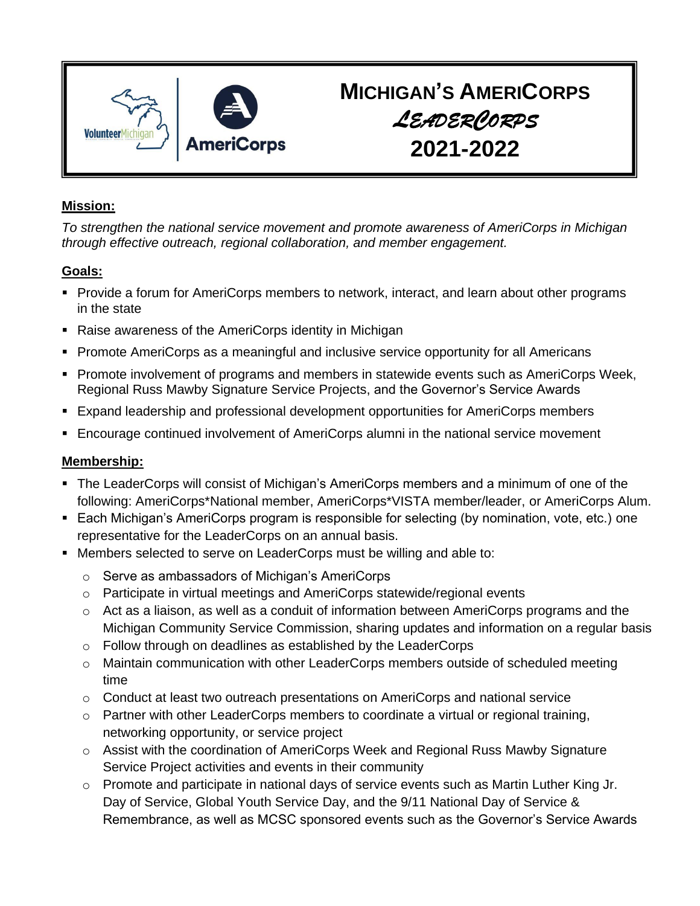

# **MICHIGAN'S AMERICORPS**  *LEADERCORPS* **2021-2022**

# **Mission:**

*To strengthen the national service movement and promote awareness of AmeriCorps in Michigan through effective outreach, regional collaboration, and member engagement.*

# **Goals:**

- Provide a forum for AmeriCorps members to network, interact, and learn about other programs in the state
- Raise awareness of the AmeriCorps identity in Michigan
- Promote AmeriCorps as a meaningful and inclusive service opportunity for all Americans
- Promote involvement of programs and members in statewide events such as AmeriCorps Week, Regional Russ Mawby Signature Service Projects, and the Governor's Service Awards
- Expand leadership and professional development opportunities for AmeriCorps members
- **Encourage continued involvement of AmeriCorps alumni in the national service movement**

# **Membership:**

- **The LeaderCorps will consist of Michigan's AmeriCorps members and a minimum of one of the** following: AmeriCorps\*National member, AmeriCorps\*VISTA member/leader, or AmeriCorps Alum.
- Each Michigan's AmeriCorps program is responsible for selecting (by nomination, vote, etc.) one representative for the LeaderCorps on an annual basis.
- Members selected to serve on LeaderCorps must be willing and able to:
	- o Serve as ambassadors of Michigan's AmeriCorps
	- $\circ$  Participate in virtual meetings and AmeriCorps statewide/regional events
	- o Act as a liaison, as well as a conduit of information between AmeriCorps programs and the Michigan Community Service Commission, sharing updates and information on a regular basis
	- o Follow through on deadlines as established by the LeaderCorps
	- o Maintain communication with other LeaderCorps members outside of scheduled meeting time
	- o Conduct at least two outreach presentations on AmeriCorps and national service
	- o Partner with other LeaderCorps members to coordinate a virtual or regional training, networking opportunity, or service project
	- $\circ$  Assist with the coordination of AmeriCorps Week and Regional Russ Mawby Signature Service Project activities and events in their community
	- o Promote and participate in national days of service events such as Martin Luther King Jr. Day of Service, Global Youth Service Day, and the 9/11 National Day of Service & Remembrance, as well as MCSC sponsored events such as the Governor's Service Awards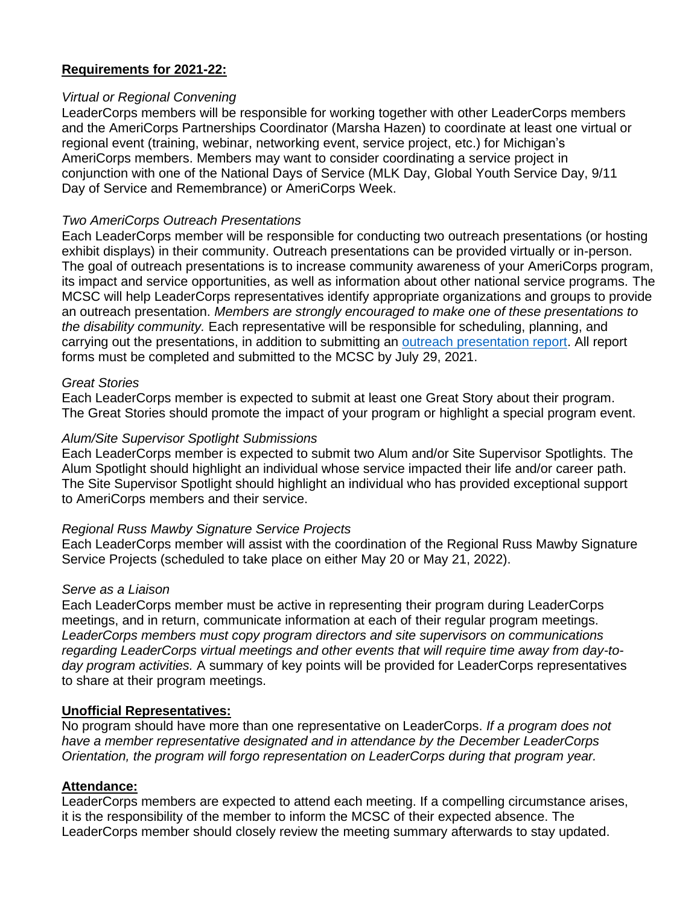# **Requirements for 2021-22:**

#### *Virtual or Regional Convening*

LeaderCorps members will be responsible for working together with other LeaderCorps members and the AmeriCorps Partnerships Coordinator (Marsha Hazen) to coordinate at least one virtual or regional event (training, webinar, networking event, service project, etc.) for Michigan's AmeriCorps members. Members may want to consider coordinating a service project in conjunction with one of the National Days of Service (MLK Day, Global Youth Service Day, 9/11 Day of Service and Remembrance) or AmeriCorps Week.

### *Two AmeriCorps Outreach Presentations*

Each LeaderCorps member will be responsible for conducting two outreach presentations (or hosting exhibit displays) in their community. Outreach presentations can be provided virtually or in-person. The goal of outreach presentations is to increase community awareness of your AmeriCorps program, its impact and service opportunities, as well as information about other national service programs. The MCSC will help LeaderCorps representatives identify appropriate organizations and groups to provide an outreach presentation. *Members are strongly encouraged to make one of these presentations to the disability community.* Each representative will be responsible for scheduling, planning, and carrying out the presentations, in addition to submitting an [outreach presentation report.](https://www.research.net/r/LC_Outreach_2021-22) All report forms must be completed and submitted to the MCSC by July 29, 2021.

#### *Great Stories*

Each LeaderCorps member is expected to submit at least one Great Story about their program. The Great Stories should promote the impact of your program or highlight a special program event.

### *Alum/Site Supervisor Spotlight Submissions*

Each LeaderCorps member is expected to submit two Alum and/or Site Supervisor Spotlights. The Alum Spotlight should highlight an individual whose service impacted their life and/or career path. The Site Supervisor Spotlight should highlight an individual who has provided exceptional support to AmeriCorps members and their service.

#### *Regional Russ Mawby Signature Service Projects*

Each LeaderCorps member will assist with the coordination of the Regional Russ Mawby Signature Service Projects (scheduled to take place on either May 20 or May 21, 2022).

#### *Serve as a Liaison*

Each LeaderCorps member must be active in representing their program during LeaderCorps meetings, and in return, communicate information at each of their regular program meetings. *LeaderCorps members must copy program directors and site supervisors on communications regarding LeaderCorps virtual meetings and other events that will require time away from day-today program activities.* A summary of key points will be provided for LeaderCorps representatives to share at their program meetings.

## **Unofficial Representatives:**

No program should have more than one representative on LeaderCorps. *If a program does not have a member representative designated and in attendance by the December LeaderCorps Orientation, the program will forgo representation on LeaderCorps during that program year.* 

## **Attendance:**

LeaderCorps members are expected to attend each meeting. If a compelling circumstance arises, it is the responsibility of the member to inform the MCSC of their expected absence. The LeaderCorps member should closely review the meeting summary afterwards to stay updated.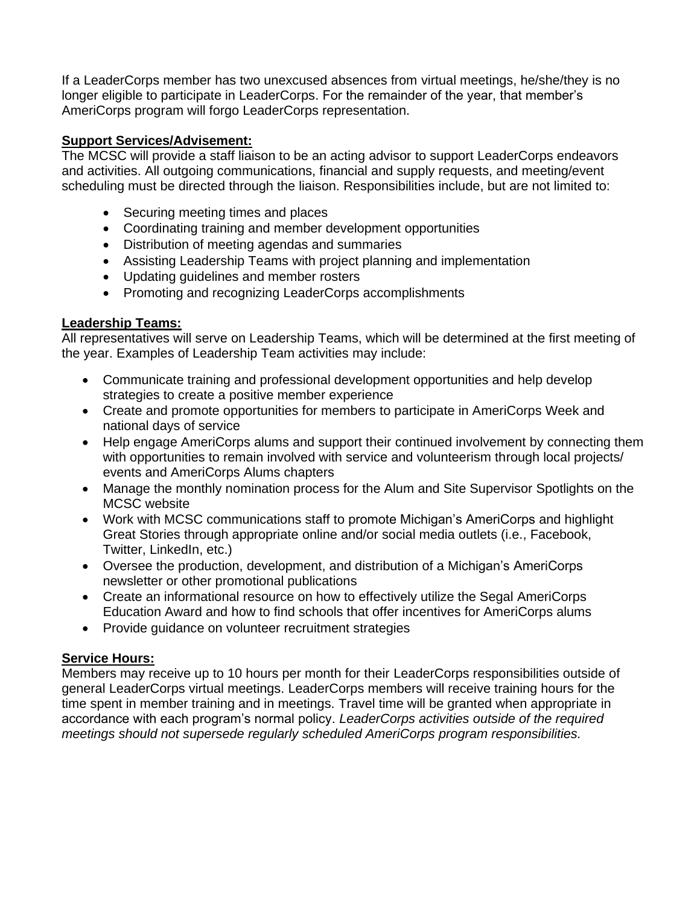If a LeaderCorps member has two unexcused absences from virtual meetings, he/she/they is no longer eligible to participate in LeaderCorps. For the remainder of the year, that member's AmeriCorps program will forgo LeaderCorps representation.

# **Support Services/Advisement:**

The MCSC will provide a staff liaison to be an acting advisor to support LeaderCorps endeavors and activities. All outgoing communications, financial and supply requests, and meeting/event scheduling must be directed through the liaison. Responsibilities include, but are not limited to:

- Securing meeting times and places
- Coordinating training and member development opportunities
- Distribution of meeting agendas and summaries
- Assisting Leadership Teams with project planning and implementation
- Updating guidelines and member rosters
- Promoting and recognizing LeaderCorps accomplishments

## **Leadership Teams:**

All representatives will serve on Leadership Teams, which will be determined at the first meeting of the year. Examples of Leadership Team activities may include:

- Communicate training and professional development opportunities and help develop strategies to create a positive member experience
- Create and promote opportunities for members to participate in AmeriCorps Week and national days of service
- Help engage AmeriCorps alums and support their continued involvement by connecting them with opportunities to remain involved with service and volunteerism through local projects/ events and AmeriCorps Alums chapters
- Manage the monthly nomination process for the Alum and Site Supervisor Spotlights on the MCSC website
- Work with MCSC communications staff to promote Michigan's AmeriCorps and highlight Great Stories through appropriate online and/or social media outlets (i.e., Facebook, Twitter, LinkedIn, etc.)
- Oversee the production, development, and distribution of a Michigan's AmeriCorps newsletter or other promotional publications
- Create an informational resource on how to effectively utilize the Segal AmeriCorps Education Award and how to find schools that offer incentives for AmeriCorps alums
- Provide guidance on volunteer recruitment strategies

# **Service Hours:**

Members may receive up to 10 hours per month for their LeaderCorps responsibilities outside of general LeaderCorps virtual meetings. LeaderCorps members will receive training hours for the time spent in member training and in meetings. Travel time will be granted when appropriate in accordance with each program's normal policy. *LeaderCorps activities outside of the required meetings should not supersede regularly scheduled AmeriCorps program responsibilities.*